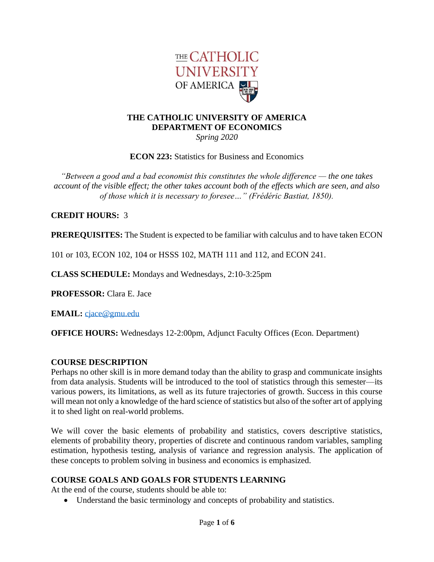

#### **THE CATHOLIC UNIVERSITY OF AMERICA DEPARTMENT OF ECONOMICS** *Spring 2020*

**ECON 223:** Statistics for Business and Economics

*"Between a good and a bad economist this constitutes the whole difference — the one takes account of the visible effect; the other takes account both of the effects which are seen, and also of those which it is necessary to foresee…" (Frédéric Bastiat, 1850).*

### **CREDIT HOURS:** 3

**PREREQUISITES:** The Student is expected to be familiar with calculus and to have taken ECON

101 or 103, ECON 102, 104 or HSSS 102, MATH 111 and 112, and ECON 241.

**CLASS SCHEDULE:** Mondays and Wednesdays, 2:10-3:25pm

**PROFESSOR:** Clara E. Jace

**EMAIL:** [cjace@gmu.edu](mailto:cjace@gmu.edu)

**OFFICE HOURS:** Wednesdays 12-2:00pm, Adjunct Faculty Offices (Econ. Department)

#### **COURSE DESCRIPTION**

Perhaps no other skill is in more demand today than the ability to grasp and communicate insights from data analysis. Students will be introduced to the tool of statistics through this semester—its various powers, its limitations, as well as its future trajectories of growth. Success in this course will mean not only a knowledge of the hard science of statistics but also of the softer art of applying it to shed light on real-world problems.

We will cover the basic elements of probability and statistics, covers descriptive statistics, elements of probability theory, properties of discrete and continuous random variables, sampling estimation, hypothesis testing, analysis of variance and regression analysis. The application of these concepts to problem solving in business and economics is emphasized.

#### **COURSE GOALS AND GOALS FOR STUDENTS LEARNING**

At the end of the course, students should be able to:

• Understand the basic terminology and concepts of probability and statistics.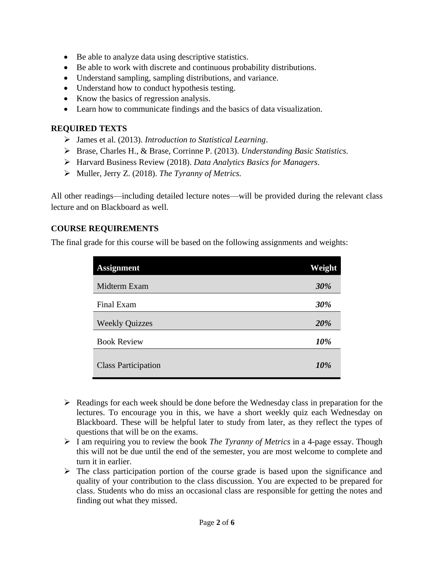- Be able to analyze data using descriptive statistics.
- Be able to work with discrete and continuous probability distributions.
- Understand sampling, sampling distributions, and variance.
- Understand how to conduct hypothesis testing.
- Know the basics of regression analysis.
- Learn how to communicate findings and the basics of data visualization.

### **REQUIRED TEXTS**

- ➢ James et al. (2013). *Introduction to Statistical Learning*.
- ➢ Brase, Charles H., & Brase, Corrinne P. (2013). *Understanding Basic Statistics.*
- ➢ Harvard Business Review (2018). *Data Analytics Basics for Managers.*
- ➢ Muller, Jerry Z. (2018). *The Tyranny of Metrics.*

All other readings—including detailed lecture notes—will be provided during the relevant class lecture and on Blackboard as well.

## **COURSE REQUIREMENTS**

The final grade for this course will be based on the following assignments and weights:

| <b>Assignment</b>          | Weight |
|----------------------------|--------|
| Midterm Exam               | 30%    |
| Final Exam                 | 30%    |
| <b>Weekly Quizzes</b>      | 20%    |
| <b>Book Review</b>         | 10%    |
| <b>Class Participation</b> | 10%    |

- ➢ Readings for each week should be done before the Wednesday class in preparation for the lectures. To encourage you in this, we have a short weekly quiz each Wednesday on Blackboard. These will be helpful later to study from later, as they reflect the types of questions that will be on the exams.
- ➢ I am requiring you to review the book *The Tyranny of Metrics* in a 4-page essay. Though this will not be due until the end of the semester, you are most welcome to complete and turn it in earlier.
- $\triangleright$  The class participation portion of the course grade is based upon the significance and quality of your contribution to the class discussion. You are expected to be prepared for class. Students who do miss an occasional class are responsible for getting the notes and finding out what they missed.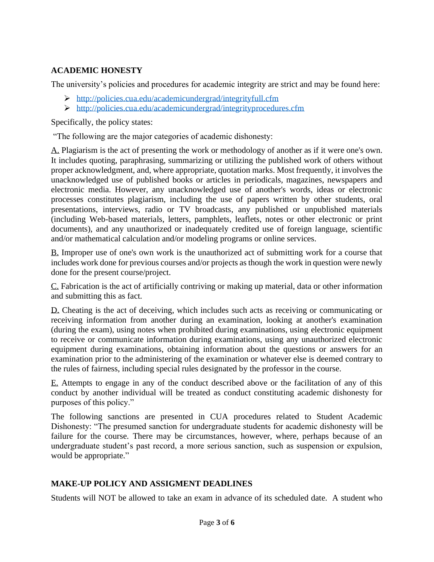## **ACADEMIC HONESTY**

The university's policies and procedures for academic integrity are strict and may be found here:

- ➢ <http://policies.cua.edu/academicundergrad/integrityfull.cfm>
- ➢ <http://policies.cua.edu/academicundergrad/integrityprocedures.cfm>

Specifically, the policy states:

"The following are the major categories of academic dishonesty:

A. Plagiarism is the act of presenting the work or methodology of another as if it were one's own. It includes quoting, paraphrasing, summarizing or utilizing the published work of others without proper acknowledgment, and, where appropriate, quotation marks. Most frequently, it involves the unacknowledged use of published books or articles in periodicals, magazines, newspapers and electronic media. However, any unacknowledged use of another's words, ideas or electronic processes constitutes plagiarism, including the use of papers written by other students, oral presentations, interviews, radio or TV broadcasts, any published or unpublished materials (including Web-based materials, letters, pamphlets, leaflets, notes or other electronic or print documents), and any unauthorized or inadequately credited use of foreign language, scientific and/or mathematical calculation and/or modeling programs or online services.

B. Improper use of one's own work is the unauthorized act of submitting work for a course that includes work done for previous courses and/or projects as though the work in question were newly done for the present course/project.

C. Fabrication is the act of artificially contriving or making up material, data or other information and submitting this as fact.

D. Cheating is the act of deceiving, which includes such acts as receiving or communicating or receiving information from another during an examination, looking at another's examination (during the exam), using notes when prohibited during examinations, using electronic equipment to receive or communicate information during examinations, using any unauthorized electronic equipment during examinations, obtaining information about the questions or answers for an examination prior to the administering of the examination or whatever else is deemed contrary to the rules of fairness, including special rules designated by the professor in the course.

E. Attempts to engage in any of the conduct described above or the facilitation of any of this conduct by another individual will be treated as conduct constituting academic dishonesty for purposes of this policy."

The following sanctions are presented in CUA procedures related to Student Academic Dishonesty: "The presumed sanction for undergraduate students for academic dishonesty will be failure for the course. There may be circumstances, however, where, perhaps because of an undergraduate student's past record, a more serious sanction, such as suspension or expulsion, would be appropriate."

## **MAKE-UP POLICY AND ASSIGMENT DEADLINES**

Students will NOT be allowed to take an exam in advance of its scheduled date. A student who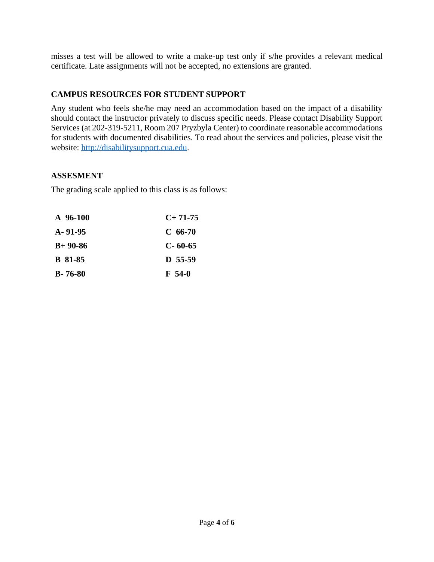misses a test will be allowed to write a make-up test only if s/he provides a relevant medical certificate. Late assignments will not be accepted, no extensions are granted.

## **CAMPUS RESOURCES FOR STUDENT SUPPORT**

Any student who feels she/he may need an accommodation based on the impact of a disability should contact the instructor privately to discuss specific needs. Please contact Disability Support Services (at 202-319-5211, Room 207 Pryzbyla Center) to coordinate reasonable accommodations for students with documented disabilities. To read about the services and policies, please visit the website: [http://disabilitysupport.cua.edu.](http://disabilitysupport.cua.edu/)

### **ASSESMENT**

The grading scale applied to this class is as follows:

| A 96-100       | $C+71-75$     |
|----------------|---------------|
| $A - 91 - 95$  | $C$ 66-70     |
| $B+90-86$      | $C - 60 - 65$ |
| <b>B</b> 81-85 | $D$ 55-59     |
| $B - 76 - 80$  | F 54-0        |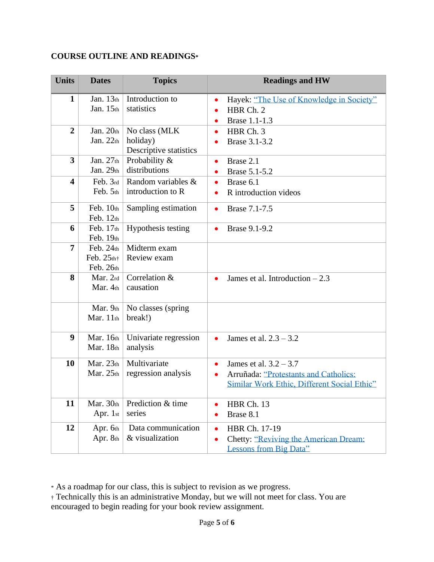# **COURSE OUTLINE AND READINGS\***

| <b>Units</b>            | <b>Dates</b>                            | <b>Topics</b>                                       | <b>Readings and HW</b>                                                                                                        |
|-------------------------|-----------------------------------------|-----------------------------------------------------|-------------------------------------------------------------------------------------------------------------------------------|
| $\mathbf{1}$            | Jan. $13th$<br>Jan. 15th                | Introduction to<br>statistics                       | Hayek: "The Use of Knowledge in Society"<br>$\bullet$<br>HBR Ch. 2<br>Brase 1.1-1.3<br>$\bullet$                              |
| $\overline{2}$          | Jan. $20th$<br>Jan. $22th$              | No class (MLK<br>holiday)<br>Descriptive statistics | HBR Ch. 3<br>$\bullet$<br>Brase 3.1-3.2                                                                                       |
| 3                       | Jan. 27th<br>Jan. $29th$                | Probability &<br>distributions                      | Brase 2.1<br>$\bullet$<br>Brase 5.1-5.2<br>$\bullet$                                                                          |
| $\overline{\mathbf{4}}$ | Feb. 3rd<br>Feb. 5th                    | Random variables &<br>introduction to R             | Brase 6.1<br>$\bullet$<br>R introduction videos<br>$\bullet$                                                                  |
| 5                       | Feb. 10th<br>Feb. $12th$                | Sampling estimation                                 | Brase 7.1-7.5<br>$\bullet$                                                                                                    |
| 6                       | Feb. $17th$<br>Feb. 19th                | Hypothesis testing                                  | Brase 9.1-9.2<br>$\bullet$                                                                                                    |
| 7                       | Feb. $24th$<br>Feb. $25th$<br>Feb. 26th | Midterm exam<br>Review exam                         |                                                                                                                               |
| 8                       | Mar. 2rd<br>Mar. 4th                    | Correlation &<br>causation                          | James et al. Introduction $-2.3$<br>$\bullet$                                                                                 |
|                         | Mar. 9th<br>Mar. 11th                   | No classes (spring)<br>break!)                      |                                                                                                                               |
| 9                       | Mar. 16th<br>Mar. 18th                  | Univariate regression<br>analysis                   | James et al. $2.3 - 3.2$<br>$\bullet$                                                                                         |
| 10                      | Mar. $23th$<br>Mar. $25th$              | Multivariate<br>regression analysis                 | James et al. $3.2 - 3.7$<br>$\bullet$<br>Arruñada: "Protestants and Catholics:<br>Similar Work Ethic, Different Social Ethic" |
| 11                      | Mar. 30th<br>Apr. 1st                   | Prediction & time<br>series                         | HBR Ch. 13<br>Brase 8.1                                                                                                       |
| 12                      | Apr. 6th<br>Apr. 8th                    | Data communication<br>& visualization               | HBR Ch. 17-19<br>$\bullet$<br><b>Chetty: "Reviving the American Dream:</b><br><b>Lessons from Big Data"</b>                   |

\* As a roadmap for our class, this is subject to revision as we progress.

† Technically this is an administrative Monday, but we will not meet for class. You are encouraged to begin reading for your book review assignment.